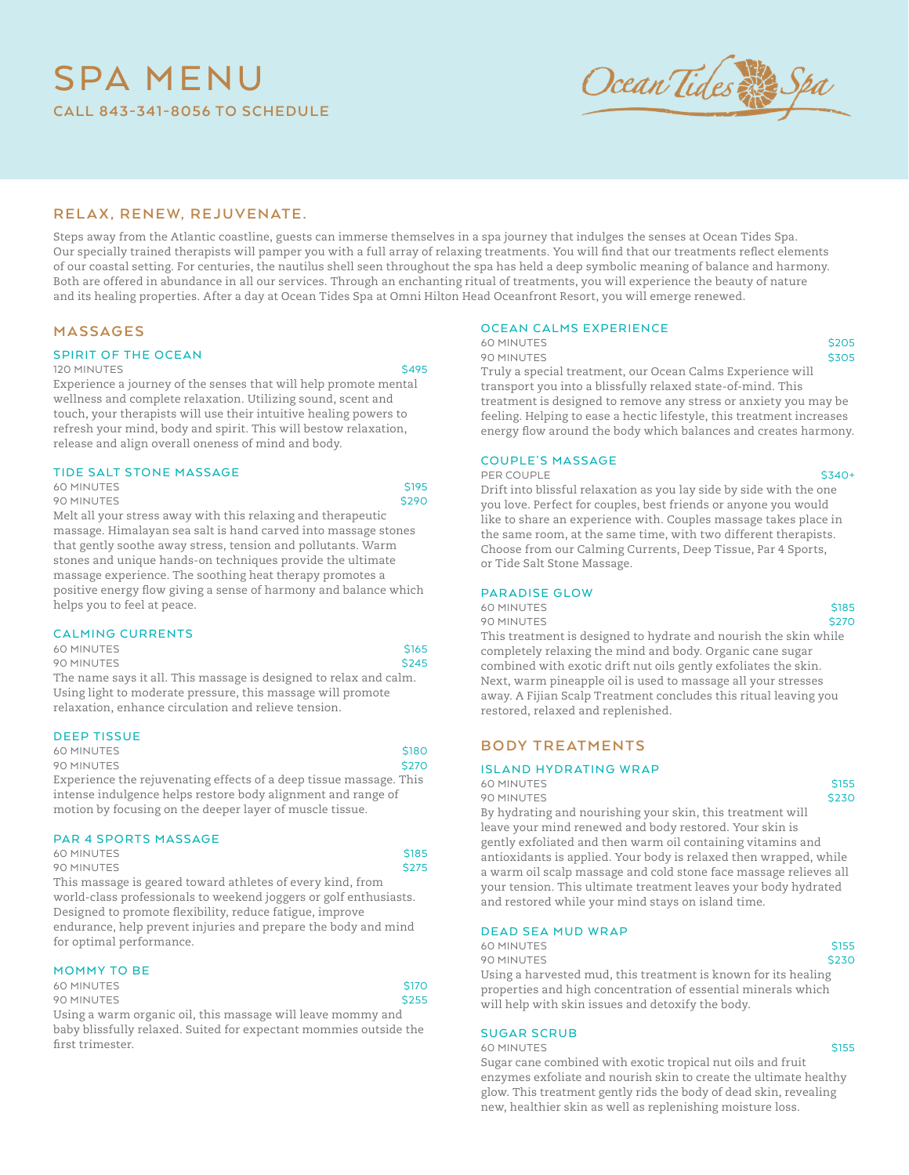## SPA MENU **CALL 843-341-8056 TO SCHEDULE**



### R E L A X, R E N E W, R E J U V E N A T E.

Steps away from the Atlantic coastline, guests can immerse themselves in a spa journey that indulges the senses at Ocean Tides Spa. Our specially trained therapists will pamper you with a full array of relaxing treatments. You will find that our treatments reflect elements of our coastal setting. For centuries, the nautilus shell seen throughout the spa has held a deep symbolic meaning of balance and harmony. Both are offered in abundance in all our services. Through an enchanting ritual of treatments, you will experience the beauty of nature and its healing properties. After a day at Ocean Tides Spa at Omni Hilton Head Oceanfront Resort, you will emerge renewed.

### **MASSAGES**

### SPIRIT OF THE OCEAN

### 120 MINUTES SANTA SANTA SANTA SANTA SANTA SANTA SANTA SANTA SANTA SANTA SANTA SANTA SANTA SANTA SANTA SANTA SA

Experience a journey of the senses that will help promote mental wellness and complete relaxation. Utilizing sound, scent and touch, your therapists will use their intuitive healing powers to refresh your mind, body and spirit. This will bestow relaxation, release and align overall oneness of mind and body.

### TIDE SALT STONE MASSAGE

| <b>60 MINUTES</b>                                             | <b>S195</b> |
|---------------------------------------------------------------|-------------|
| 90 MINUTES                                                    | \$290       |
| Melt all your stress away with this relaxing and therapeutic  |             |
| massaga Himalayan sea salt js hand caryed into massaga stones |             |

massage. Himalayan sea salt is hand carved into massage stones that gently soothe away stress, tension and pollutants. Warm stones and unique hands-on techniques provide the ultimate massage experience. The soothing heat therapy promotes a positive energy flow giving a sense of harmony and balance which helps you to feel at peace.

### **CALMING CURRENTS**

60 MINUTES STATES 90 MINUTES \$245

The name says it all. This massage is designed to relax and calm. Using light to moderate pressure, this massage will promote relaxation, enhance circulation and relieve tension.

### DEEP TISSUE

| <b>60 MINUTES</b>                                                  | \$180 |
|--------------------------------------------------------------------|-------|
| 90 MINUTES                                                         | \$270 |
| Experience the rejuvenating effects of a deep tissue massage. This |       |
| intense indulgence helps restore body alignment and range of       |       |

### PAR 4 SPORTS MASSAGE

| 60 MINUTES                                                          | S <sub>185</sub> |
|---------------------------------------------------------------------|------------------|
| 90 MINUTES                                                          | <b>S275</b>      |
| This measure is accurated uncountered and the of control bind. from |                  |

motion by focusing on the deeper layer of muscle tissue.

This massage is geared toward athletes of every kind, from world-class professionals to weekend joggers or golf enthusiasts. Designed to promote flexibility, reduce fatigue, improve endurance, help prevent injuries and prepare the body and mind for optimal performance.

### MOMMY TO BE

| <b>60 MINUTES</b>                                                 | <b>S170</b>  |
|-------------------------------------------------------------------|--------------|
| 90 MINUTES                                                        | <b>\$255</b> |
| Using a warm organic oil, this massage will leave mommy and       |              |
| hohy blicafully relaxed. Cuited for expectant mommies outside the |              |

baby blissfully relaxed. Suited for expectant mommies outside the first trimester.

### OCEAN CALMS EXPERIENCE

60 MINUTES \$205<br>\$205 MINUTES \$305 90 MINUTES Truly a special treatment, our Ocean Calms Experience will transport you into a blissfully relaxed state-of-mind. This treatment is designed to remove any stress or anxiety you may be feeling. Helping to ease a hectic lifestyle, this treatment increases energy flow around the body which balances and creates harmony.

### COUPLE'S MASSAGE

 $PFR \cdot CO11PI \cdot F$   $\zeta$ 340+

Drift into blissful relaxation as you lay side by side with the one you love. Perfect for couples, best friends or anyone you would like to share an experience with. Couples massage takes place in the same room, at the same time, with two different therapists. Choose from our Calming Currents, Deep Tissue, Par 4 Sports, or Tide Salt Stone Massage.

### PARADISE GLOW

60 MINUTES S185 90 MINUTES \$270

This treatment is designed to hydrate and nourish the skin while completely relaxing the mind and body. Organic cane sugar combined with exotic drift nut oils gently exfoliates the skin. Next, warm pineapple oil is used to massage all your stresses away. A Fijian Scalp Treatment concludes this ritual leaving you restored, relaxed and replenished.

### **BODY TREATMENTS**

### ISL AND HYDRATING WRAP

60 MINUTES \$155 90 MINUTES SAN SERVICES SAN SERVICES SAN SERVICES SAN SERVICES SAN SERVICES SAN SERVICES SAN SERVICES SAN SERVICES

By hydrating and nourishing your skin, this treatment will leave your mind renewed and body restored. Your skin is gently exfoliated and then warm oil containing vitamins and antioxidants is applied. Your body is relaxed then wrapped, while a warm oil scalp massage and cold stone face massage relieves all your tension. This ultimate treatment leaves your body hydrated and restored while your mind stays on island time.

### DEAD SEA MUD WRAP

60 MINUTES \$155 90 MINUTES \$230 Using a harvested mud, this treatment is known for its healing properties and high concentration of essential minerals which will help with skin issues and detoxify the body.

### SUGAR SCRUB

60 MINUTES \$155

Sugar cane combined with exotic tropical nut oils and fruit enzymes exfoliate and nourish skin to create the ultimate healthy glow. This treatment gently rids the body of dead skin, revealing new, healthier skin as well as replenishing moisture loss.